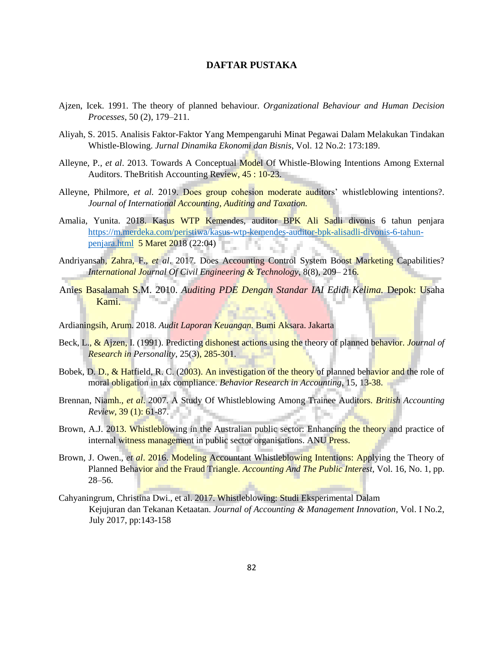## **DAFTAR PUSTAKA**

- Ajzen, Icek. 1991. The theory of planned behaviour. *Organizational Behaviour and Human Decision Processes*, 50 (2), 179–211.
- Aliyah, S. 2015. Analisis Faktor-Faktor Yang Mempengaruhi Minat Pegawai Dalam Melakukan Tindakan Whistle-Blowing. *Jurnal Dinamika Ekonomi dan Bisnis*, Vol. 12 No.2: 173:189.
- Alleyne, P*., et al*. 2013. Towards A Conceptual Model Of Whistle-Blowing Intentions Among External Auditors. The British Accounting Review, 45:10-23.
- Alleyne, Philmore, *et al.* 2019. Does group cohesion moderate auditors' whistleblowing intentions?. *Journal of International Accounting, Auditing and Taxation.*
- Amalia, Yunita. 2018. Kasus WTP Kemendes, auditor BPK Ali Sadli divonis 6 tahun penjara [https://m.merdeka.com/peristiwa/kasus-wtp-kemendes-auditor-bpk-alisadli-divonis-6-tahun](https://m.merdeka.com/peristiwa/kasus-wtp-kemendes-auditor-bpk-ali-sadli-divonis-6-tahun-penjara.html)[penjara.html](https://m.merdeka.com/peristiwa/kasus-wtp-kemendes-auditor-bpk-ali-sadli-divonis-6-tahun-penjara.html) 5 Maret 2018 (22:04)
- Andriyansah, Zahra, F., *et al*. 2017. Does Accounting Control System Boost Marketing Capabilities? *International Journal Of Civil Engineering & Technology*, 8(8), 209– 216.
- Anies Basalamah S.M. 2010. *Auditing PDE Dengan Standar IAI Edidi Kelima.* Depok: Usaha Kami.
- Ardianingsih, Arum. 2018. *Audit Laporan Keuangan.* Bumi Aksara. Jakarta
- Beck, L., & Ajzen, I. (1991). Predicting dishonest actions using the theory of planned behavior. *Journal of Research in Personality*, 25(3), 285-301.
- Bobek, D. D., & Hatfield, R. C. (2003). An investigation of the theory of planned behavior and the role of moral obligation in tax compliance. *Behavior Research in Accounting*, 15, 13-38.
- Brennan, Niamh., *et al*. 2007. A Study Of Whistleblowing Among Trainee Auditors. *British Accounting Review*, 39 (1): 61-87.
- Brown, A.J. 2013. Whistleblowing in the Australian public sector: Enhancing the theory and practice of internal witness management in public sector organisations. ANU Press.
- Brown, J. Owen., *et al*. 2016. Modeling Accountant Whistleblowing Intentions: Applying the Theory of Planned Behavior and the Fraud Triangle. *Accounting And The Public Interest*, Vol. 16, No. 1, pp. 28–56.
- Cahyaningrum, Christina Dwi., et al. 2017. Whistleblowing: Studi Eksperimental Dalam Kejujuran dan Tekanan Ketaatan. *Journal of Accounting & Management Innovation*, Vol. I No.2, July 2017, pp:143-158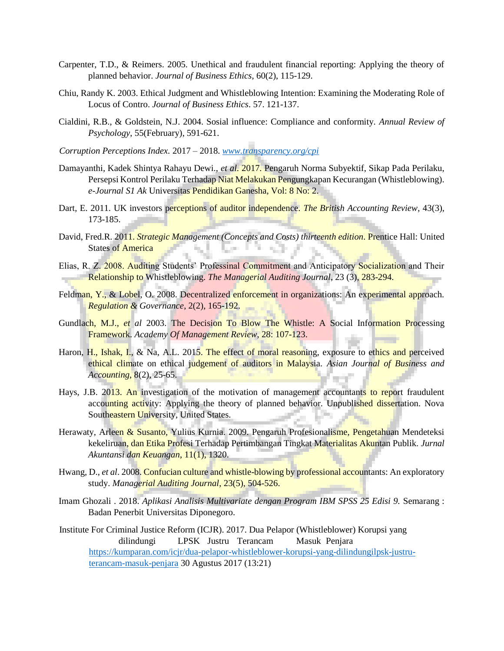- Carpenter, T.D., & Reimers. 2005. Unethical and fraudulent financial reporting: Applying the theory of planned behavior. *Journal of Business Ethics*, 60(2), 115-129.
- Chiu, Randy K. 2003. Ethical Judgment and Whistleblowing Intention: Examining the Moderating Role of Locus of Contro. *Journal of Business Ethics*. 57. 121-137.
- Cialdini, R.B., & Goldstein, N.J. 2004. Sosial influence: Compliance and conformity. *Annual Review of Psychology*, 55(February), 591-621.
- *Corruption Perceptions Index.* 2017 2018. *[www.transparency.org/cpi](http://www.transparency.org/cpi)*
- Damayanthi, Kadek Shintya Rahayu Dewi., *et al.* 2017*.* Pengaruh Norma Subyektif, Sikap Pada Perilaku, Persepsi Kontrol Perilaku Terhadap Niat Melakukan Pengungkapan Kecurangan (Whistleblowing). *e-Journal S1 Ak* Universitas Pendidikan Ganesha, Vol: 8 No: 2.
- Dart, E. 2011. UK investors perceptions of auditor independence. *The British Accounting Review*, 43(3), 173-185.
- David, Fred.R. 2011. *Strategic Management (Concepts and Costs) thirteenth edition*. Prentice Hall: United ņн. **States of America**
- Elias, R. Z. 2008. Auditing Students' Professinal Commitment and Anticipatory Socialization and Their Relationship to Whistleblowing. *The Managerial Auditing Journal*, 23 (3), 283-294.
- Feldman, Y., & Lobel, O. 2008. Decentralized enforcement in organizations: An experimental approach. *Regulation & Governance*, 2(2), 165-192.
- Gundlach, M.J., *et al* 2003. The Decision To Blow The Whistle: A Social Information Processing Framework. *Academy Of Management Review*, 28: 107-123.
- Haron, H., Ishak, I., & Na, A.L. 2015. The effect of moral reasoning, exposure to ethics and perceived ethical climate on ethical judgement of auditors in Malaysia. *Asian Journal of Business and Accounting*, 8(2), 25-65.
- Hays, J.B. 2013. An investigation of the motivation of management accountants to report fraudulent accounting activity: Applying the theory of planned behavior. Unpublished dissertation. Nova Southeastern University, United States.
- Herawaty, Arleen & Susanto, Yulius Kurnia. 2009. Pengaruh Profesionalisme, Pengetahuan Mendeteksi kekeliruan, dan Etika Profesi Terhadap Pertimbangan Tingkat Materialitas Akuntan Publik. *Jurnal Akuntansi dan Keuangan*, 11(1), 1320.
- Hwang, D., *et al*. 2008. Confucian culture and whistle-blowing by professional accountants: An exploratory study. *Managerial Auditing Journal*, 23(5), 504-526.
- Imam Ghozali . 2018. *Aplikasi Analisis Multivariate dengan Program IBM SPSS 25 Edisi 9.* Semarang : Badan Penerbit Universitas Diponegoro.

Institute For Criminal Justice Reform (ICJR). 2017. Dua Pelapor (Whistleblower) Korupsi yang dilindungi LPSK Justru Terancam Masuk Penjara [https://kumparan.com/icjr/dua-pelapor-whistleblower-korupsi-yang-dilindungilpsk-justru](https://kumparan.com/icjr/dua-pelapor-whistleblower-korupsi-yang-dilindungi-lpsk-justru-terancam-masuk-penjara)[terancam-masuk-penjara](https://kumparan.com/icjr/dua-pelapor-whistleblower-korupsi-yang-dilindungi-lpsk-justru-terancam-masuk-penjara) 30 Agustus 2017 (13:21)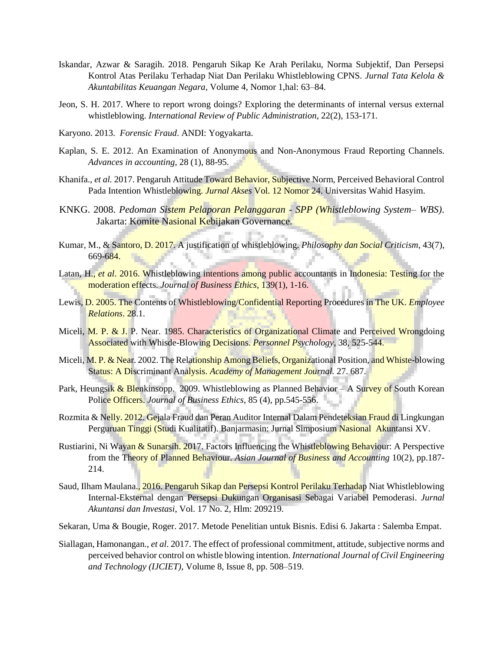- Iskandar, Azwar & Saragih. 2018. Pengaruh Sikap Ke Arah Perilaku, Norma Subjektif, Dan Persepsi Kontrol Atas Perilaku Terhadap Niat Dan Perilaku Whistleblowing CPNS. *Jurnal Tata Kelola & Akuntabilitas Keuangan Negara*, Volume 4, Nomor 1,hal: 63–84.
- Jeon, S. H. 2017. Where to report wrong doings? Exploring the determinants of internal versus external whistleblowing. *International Review of Public Administration*, 22(2), 153-171.
- Karyono. 2013. *Forensic Fraud*. ANDI: Yogyakarta.
- Kaplan, S. E. 2012. An Examination of Anonymous and Non-Anonymous Fraud Reporting Channels. *Advances in accounting*, 28 (1), 88-95.
- Khanifa., *et al.* 2017. Pengaruh Attitude Toward Behavior, Subjective Norm, Perceived Behavioral Control Pada Intention Whistleblowing. *Jurnal Akses* Vol. 12 Nomor 24. Universitas Wahid Hasyim.
- KNKG. 2008. *Pedoman Sistem Pelaporan Pelanggaran - SPP (Whistleblowing System– WBS)*. Jakarta: Komite Nasional Kebijakan Governance.
- Kumar, M., & Santoro, D. 2017. A justification of whistleblowing. *Philosophy dan Social Criticism*, 43(7), 669-684.
- Latan, H., *et al*. 2016. Whistleblowing intentions among public accountants in Indonesia: Testing for the moderation effects. *Journal of Business Ethics*, 139(1), 1-16.
- Lewis, D. 2005. The Contents of Whistleblowing/Confidential Reporting Procedures in The UK. *Employee Relations*. 28.1.
- Miceli, M. P. & J. P. Near. 1985. Characteristics of Organizational Climate and Perceived Wrongdoing Associated with Whisde-Blowing Decisions. *Personnel Psychology*, 38, 525-544.
- Miceli, M. P. & Near. 2002. The Relationship Among Beliefs, Organizational Position, and Whiste-blowing Status: A Discriminant Analysis. *Academy of Management Journal.* 27. 687.
- Park, Heungsik & Blenkinsopp. 2009. Whistleblowing as Planned Behavior A Survey of South Korean Police Officers. *Journal of Business Ethics*, 85 (4), pp.545-556.
- Rozmita & Nelly. 2012. Gejala Fraud dan Peran Auditor Internal Dalam Pendeteksian Fraud di Lingkungan Perguruan Tinggi (Studi Kualitatif). Banjarmasin: Jurnal Simposium Nasional Akuntansi XV.
- Rustiarini, Ni Wayan & Sunarsih. 2017. Factors Influencing the Whistleblowing Behaviour: A Perspective from the Theory of Planned Behaviour. *Asian Journal of Business and Accounting* 10(2), pp.187- 214.
- Saud, Ilham Maulana., 2016. Pengaruh Sikap dan Persepsi Kontrol Perilaku Terhadap Niat Whistleblowing Internal-Eksternal dengan Persepsi Dukungan Organisasi Sebagai Variabel Pemoderasi. *Jurnal Akuntansi dan Investasi*, Vol. 17 No. 2, Hlm: 209219.
- Sekaran, Uma & Bougie, Roger. 2017. Metode Penelitian untuk Bisnis. Edisi 6. Jakarta : Salemba Empat.
- Siallagan, Hamonangan., *et al*. 2017. The effect of professional commitment, attitude, subjective norms and perceived behavior control on whistle blowing intention. *International Journal of Civil Engineering and Technology (IJCIET)*, Volume 8, Issue 8, pp. 508–519.